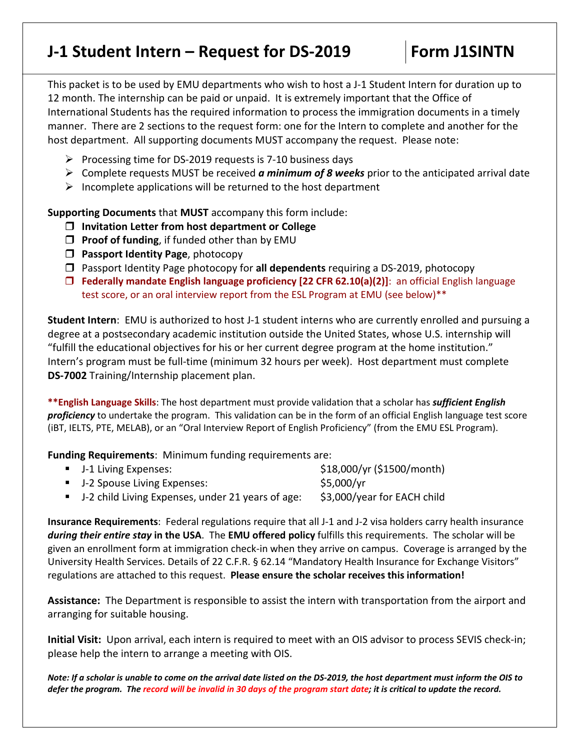## **J-1 Student Intern – Request for DS-2019 Form J1SINTN**

This packet is to be used by EMU departments who wish to host a J-1 Student Intern for duration up to 12 month. The internship can be paid or unpaid. It is extremely important that the Office of International Students has the required information to process the immigration documents in a timely manner. There are 2 sections to the request form: one for the Intern to complete and another for the host department. All supporting documents MUST accompany the request. Please note:

- $\triangleright$  Processing time for DS-2019 requests is 7-10 business days
- Complete requests MUST be received *a minimum of 8 weeks* prior to the anticipated arrival date
- $\triangleright$  Incomplete applications will be returned to the host department

**Supporting Documents** that **MUST** accompany this form include:

- **Invitation Letter from host department or College**
- **Proof of funding**, if funded other than by EMU
- **Passport Identity Page**, photocopy
- Passport Identity Page photocopy for **all dependents** requiring a DS-2019, photocopy
- **Federally mandate English language proficiency [22 CFR 62.10(a)(2)]**: an official English language test score, or an oral interview report from the ESL Program at EMU (see below)\*\*

**Student Intern**: EMU is authorized to host J-1 student interns who are currently enrolled and pursuing a degree at a postsecondary academic institution outside the United States, whose U.S. internship will "fulfill the educational objectives for his or her current degree program at the home institution." Intern's program must be full-time (minimum 32 hours per week). Host department must complete **DS-7002** Training/Internship placement plan.

**\*\*English Language Skills**: The host department must provide validation that a scholar has *sufficient English proficiency* to undertake the program. This validation can be in the form of an official English language test score (iBT, IELTS, PTE, MELAB), or an "Oral Interview Report of English Proficiency" (from the EMU ESL Program).

**Funding Requirements**: Minimum funding requirements are:

| • J-1 Living Expenses:                              | \$18,000/yr (\$1500/month)  |
|-----------------------------------------------------|-----------------------------|
| • J-2 Spouse Living Expenses:                       | \$5,000/yr                  |
| • J-2 child Living Expenses, under 21 years of age: | \$3,000/year for EACH child |

**Insurance Requirements**: Federal regulations require that all J-1 and J-2 visa holders carry health insurance *during their entire stay* **in the USA**. The **EMU offered policy** fulfills this requirements. The scholar will be given an enrollment form at immigration check-in when they arrive on campus. Coverage is arranged by the University Health Services. Details of 22 C.F.R. § 62.14 "Mandatory Health Insurance for Exchange Visitors" regulations are attached to this request. **Please ensure the scholar receives this information!** 

**Assistance:** The Department is responsible to assist the intern with transportation from the airport and arranging for suitable housing.

**Initial Visit:** Upon arrival, each intern is required to meet with an OIS advisor to process SEVIS check-in; please help the intern to arrange a meeting with OIS.

*Note: If a scholar is unable to come on the arrival date listed on the DS-2019, the host department must inform the OIS to defer the program. The record will be invalid in 30 days of the program start date; it is critical to update the record.*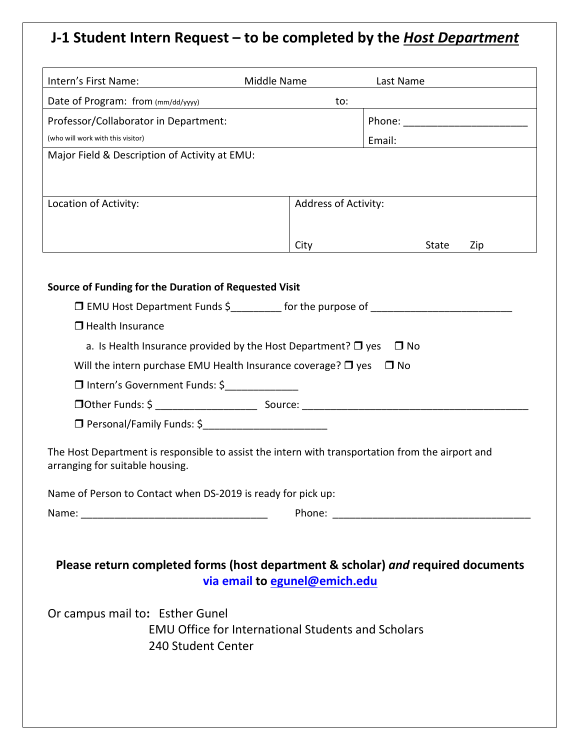# **J-1 Student Intern Request – to be completed by the** *Host Department*

| Intern's First Name:                                                                                                                | Middle Name                   | Last Name                        |  |  |  |  |  |
|-------------------------------------------------------------------------------------------------------------------------------------|-------------------------------|----------------------------------|--|--|--|--|--|
| Date of Program: from (mm/dd/yyyy)<br>to:                                                                                           |                               |                                  |  |  |  |  |  |
| Professor/Collaborator in Department:                                                                                               |                               | Phone: _________________________ |  |  |  |  |  |
| (who will work with this visitor)                                                                                                   |                               | Email:                           |  |  |  |  |  |
| Major Field & Description of Activity at EMU:                                                                                       |                               |                                  |  |  |  |  |  |
|                                                                                                                                     |                               |                                  |  |  |  |  |  |
| Location of Activity:                                                                                                               | Address of Activity:          |                                  |  |  |  |  |  |
|                                                                                                                                     |                               |                                  |  |  |  |  |  |
|                                                                                                                                     | City                          | State<br>Zip                     |  |  |  |  |  |
|                                                                                                                                     |                               |                                  |  |  |  |  |  |
|                                                                                                                                     |                               |                                  |  |  |  |  |  |
| Source of Funding for the Duration of Requested Visit<br>$\Box$ EMU Host Department Funds \$ for the purpose of                     |                               |                                  |  |  |  |  |  |
|                                                                                                                                     |                               |                                  |  |  |  |  |  |
| □ Health Insurance                                                                                                                  |                               |                                  |  |  |  |  |  |
| a. Is Health Insurance provided by the Host Department? $\Box$ yes<br>$\Box$ No                                                     |                               |                                  |  |  |  |  |  |
| Will the intern purchase EMU Health Insurance coverage? $\Box$ yes<br>$\Box$ No                                                     |                               |                                  |  |  |  |  |  |
| □ Intern's Government Funds: \$                                                                                                     |                               |                                  |  |  |  |  |  |
|                                                                                                                                     |                               |                                  |  |  |  |  |  |
| □ Personal/Family Funds: \$                                                                                                         |                               |                                  |  |  |  |  |  |
| The Host Department is responsible to assist the intern with transportation from the airport and<br>arranging for suitable housing. |                               |                                  |  |  |  |  |  |
| Name of Person to Contact when DS-2019 is ready for pick up:                                                                        |                               |                                  |  |  |  |  |  |
|                                                                                                                                     |                               |                                  |  |  |  |  |  |
|                                                                                                                                     |                               |                                  |  |  |  |  |  |
|                                                                                                                                     |                               |                                  |  |  |  |  |  |
| Please return completed forms (host department & scholar) and required documents                                                    |                               |                                  |  |  |  |  |  |
|                                                                                                                                     | via email to egunel@emich.edu |                                  |  |  |  |  |  |
| Or campus mail to: Esther Gunel<br><b>EMU Office for International Students and Scholars</b><br>240 Student Center                  |                               |                                  |  |  |  |  |  |
|                                                                                                                                     |                               |                                  |  |  |  |  |  |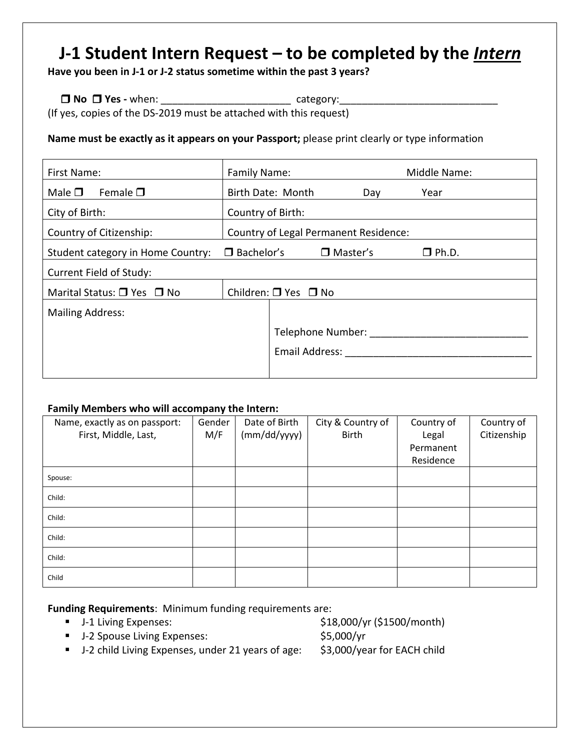## **J-1 Student Intern Request – to be completed by the** *Intern*

**Have you been in J-1 or J-2 status sometime within the past 3 years?** 

 $\Box$  **No**  $\Box$  **Yes** - when:  $\Box$  **Category:** (If yes, copies of the DS-2019 must be attached with this request)

**Name must be exactly as it appears on your Passport;** please print clearly or type information

| First Name:                                            | Family Name:                          |                   | Middle Name:    |              |  |  |
|--------------------------------------------------------|---------------------------------------|-------------------|-----------------|--------------|--|--|
| Female $\square$<br>Male $\square$                     |                                       | Birth Date: Month | Day             | Year         |  |  |
| City of Birth:                                         | Country of Birth:                     |                   |                 |              |  |  |
| Country of Citizenship:                                | Country of Legal Permanent Residence: |                   |                 |              |  |  |
| $\Box$ Bachelor's<br>Student category in Home Country: |                                       |                   | $\Box$ Master's | $\Box$ Ph.D. |  |  |
| Current Field of Study:                                |                                       |                   |                 |              |  |  |
| Marital Status: $\Box$ Yes $\Box$ No                   | Children: $\Box$ Yes $\Box$ No        |                   |                 |              |  |  |
| <b>Mailing Address:</b>                                |                                       |                   |                 |              |  |  |
|                                                        |                                       | Telephone Number: |                 |              |  |  |
|                                                        |                                       | Email Address:    |                 |              |  |  |
|                                                        |                                       |                   |                 |              |  |  |

### **Family Members who will accompany the Intern:**

| Name, exactly as on passport:<br>First, Middle, Last, | Gender<br>M/F | Date of Birth<br>(mm/dd/yyyy) | City & Country of<br><b>Birth</b> | Country of<br>Legal | Country of<br>Citizenship |
|-------------------------------------------------------|---------------|-------------------------------|-----------------------------------|---------------------|---------------------------|
|                                                       |               |                               |                                   | Permanent           |                           |
|                                                       |               |                               |                                   | Residence           |                           |
| Spouse:                                               |               |                               |                                   |                     |                           |
| Child:                                                |               |                               |                                   |                     |                           |
| Child:                                                |               |                               |                                   |                     |                           |
| Child:                                                |               |                               |                                   |                     |                           |
| Child:                                                |               |                               |                                   |                     |                           |
| Child                                                 |               |                               |                                   |                     |                           |

**Funding Requirements**: Minimum funding requirements are:

- 
- J-2 Spouse Living Expenses: \$5,000/yr

■ J-1 Living Expenses: \$18,000/yr (\$1500/month)

■ J-2 child Living Expenses, under 21 years of age: \$3,000/year for EACH child